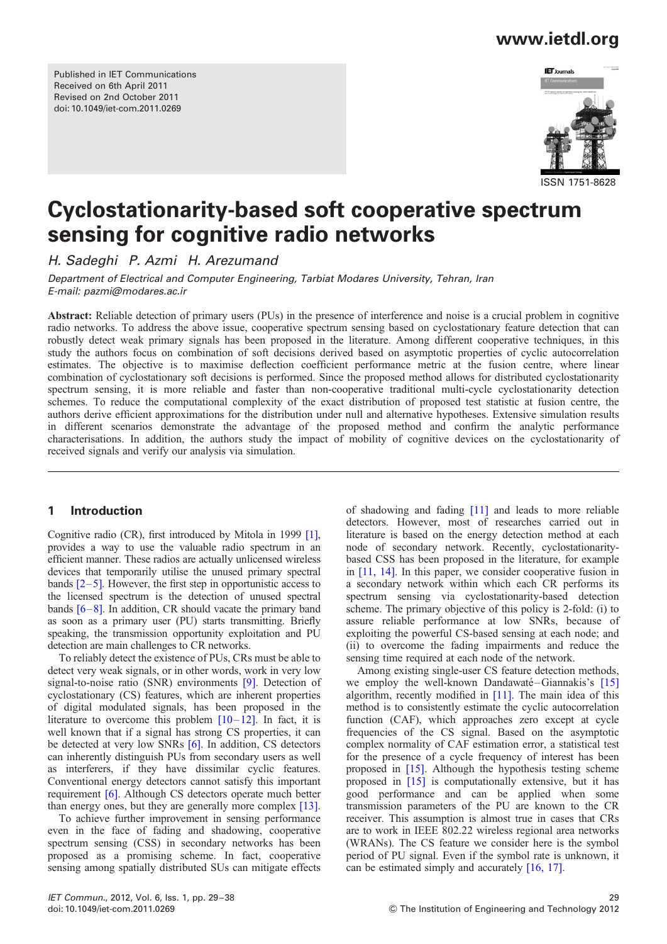Published in IET Communications Received on 6th April 2011 Revised on 2nd October 2011 doi: 10.1049/iet-com.2011.0269

### www.ietdl.org



# Cyclostationarity-based soft cooperative spectrum sensing for cognitive radio networks

H. Sadeghi P. Azmi H. Arezumand

Department of Electrical and Computer Engineering, Tarbiat Modares University, Tehran, Iran E-mail: pazmi@modares.ac.ir

Abstract: Reliable detection of primary users (PUs) in the presence of interference and noise is a crucial problem in cognitive radio networks. To address the above issue, cooperative spectrum sensing based on cyclostationary feature detection that can robustly detect weak primary signals has been proposed in the literature. Among different cooperative techniques, in this study the authors focus on combination of soft decisions derived based on asymptotic properties of cyclic autocorrelation estimates. The objective is to maximise deflection coefficient performance metric at the fusion centre, where linear combination of cyclostationary soft decisions is performed. Since the proposed method allows for distributed cyclostationarity spectrum sensing, it is more reliable and faster than non-cooperative traditional multi-cycle cyclostationarity detection schemes. To reduce the computational complexity of the exact distribution of proposed test statistic at fusion centre, the authors derive efficient approximations for the distribution under null and alternative hypotheses. Extensive simulation results in different scenarios demonstrate the advantage of the proposed method and confirm the analytic performance characterisations. In addition, the authors study the impact of mobility of cognitive devices on the cyclostationarity of received signals and verify our analysis via simulation.

#### 1 Introduction

Cognitive radio (CR), first introduced by Mitola in 1999 [1], provides a way to use the valuable radio spectrum in an efficient manner. These radios are actually unlicensed wireless devices that temporarily utilise the unused primary spectral bands  $[2-5]$ . However, the first step in opportunistic access to the licensed spectrum is the detection of unused spectral bands  $[6-8]$ . In addition, CR should vacate the primary band as soon as a primary user (PU) starts transmitting. Briefly speaking, the transmission opportunity exploitation and PU detection are main challenges to CR networks.

To reliably detect the existence of PUs, CRs must be able to detect very weak signals, or in other words, work in very low signal-to-noise ratio (SNR) environments [9]. Detection of cyclostationary (CS) features, which are inherent properties of digital modulated signals, has been proposed in the literature to overcome this problem  $[10-12]$ . In fact, it is well known that if a signal has strong CS properties, it can be detected at very low SNRs [6]. In addition, CS detectors can inherently distinguish PUs from secondary users as well as interferers, if they have dissimilar cyclic features. Conventional energy detectors cannot satisfy this important requirement [6]. Although CS detectors operate much better than energy ones, but they are generally more complex [13].

To achieve further improvement in sensing performance even in the face of fading and shadowing, cooperative spectrum sensing (CSS) in secondary networks has been proposed as a promising scheme. In fact, cooperative sensing among spatially distributed SUs can mitigate effects

of shadowing and fading [11] and leads to more reliable detectors. However, most of researches carried out in literature is based on the energy detection method at each node of secondary network. Recently, cyclostationaritybased CSS has been proposed in the literature, for example in [11, 14]. In this paper, we consider cooperative fusion in a secondary network within which each CR performs its spectrum sensing via cyclostationarity-based detection scheme. The primary objective of this policy is 2-fold: (i) to assure reliable performance at low SNRs, because of exploiting the powerful CS-based sensing at each node; and (ii) to overcome the fading impairments and reduce the sensing time required at each node of the network.

Among existing single-user CS feature detection methods, we employ the well-known Dandawaté–Giannakis's  $[15]$ algorithm, recently modified in [11]. The main idea of this method is to consistently estimate the cyclic autocorrelation function (CAF), which approaches zero except at cycle frequencies of the CS signal. Based on the asymptotic complex normality of CAF estimation error, a statistical test for the presence of a cycle frequency of interest has been proposed in [15]. Although the hypothesis testing scheme proposed in [15] is computationally extensive, but it has good performance and can be applied when some transmission parameters of the PU are known to the CR receiver. This assumption is almost true in cases that CRs are to work in IEEE 802.22 wireless regional area networks (WRANs). The CS feature we consider here is the symbol period of PU signal. Even if the symbol rate is unknown, it can be estimated simply and accurately [16, 17].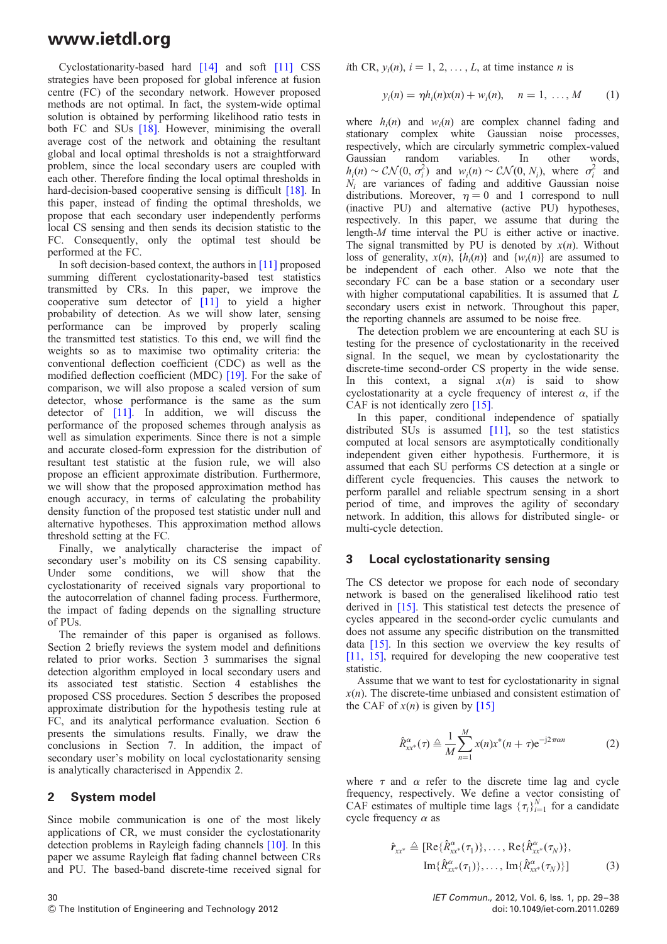Cyclostationarity-based hard [14] and soft [11] CSS strategies have been proposed for global inference at fusion centre (FC) of the secondary network. However proposed methods are not optimal. In fact, the system-wide optimal solution is obtained by performing likelihood ratio tests in both FC and SUs [18]. However, minimising the overall average cost of the network and obtaining the resultant global and local optimal thresholds is not a straightforward problem, since the local secondary users are coupled with each other. Therefore finding the local optimal thresholds in hard-decision-based cooperative sensing is difficult [18]. In this paper, instead of finding the optimal thresholds, we propose that each secondary user independently performs local CS sensing and then sends its decision statistic to the FC. Consequently, only the optimal test should be performed at the FC.

In soft decision-based context, the authors in [11] proposed summing different cyclostationarity-based test statistics transmitted by CRs. In this paper, we improve the cooperative sum detector of [11] to yield a higher probability of detection. As we will show later, sensing performance can be improved by properly scaling the transmitted test statistics. To this end, we will find the weights so as to maximise two optimality criteria: the conventional deflection coefficient (CDC) as well as the modified deflection coefficient (MDC) [19]. For the sake of comparison, we will also propose a scaled version of sum detector, whose performance is the same as the sum detector of [11]. In addition, we will discuss the performance of the proposed schemes through analysis as well as simulation experiments. Since there is not a simple and accurate closed-form expression for the distribution of resultant test statistic at the fusion rule, we will also propose an efficient approximate distribution. Furthermore, we will show that the proposed approximation method has enough accuracy, in terms of calculating the probability density function of the proposed test statistic under null and alternative hypotheses. This approximation method allows threshold setting at the FC.

Finally, we analytically characterise the impact of secondary user's mobility on its CS sensing capability. Under some conditions, we will show that the cyclostationarity of received signals vary proportional to the autocorrelation of channel fading process. Furthermore, the impact of fading depends on the signalling structure of PUs.

The remainder of this paper is organised as follows. Section 2 briefly reviews the system model and definitions related to prior works. Section 3 summarises the signal detection algorithm employed in local secondary users and its associated test statistic. Section 4 establishes the proposed CSS procedures. Section 5 describes the proposed approximate distribution for the hypothesis testing rule at FC, and its analytical performance evaluation. Section 6 presents the simulations results. Finally, we draw the conclusions in Section 7. In addition, the impact of secondary user's mobility on local cyclostationarity sensing is analytically characterised in Appendix 2.

#### 2 System model

Since mobile communication is one of the most likely applications of CR, we must consider the cyclostationarity detection problems in Rayleigh fading channels [10]. In this paper we assume Rayleigh flat fading channel between CRs and PU. The based-band discrete-time received signal for ith CR,  $y_i(n)$ ,  $i = 1, 2, ..., L$ , at time instance *n* is

$$
y_i(n) = \eta h_i(n)x(n) + w_i(n), \quad n = 1, ..., M
$$
 (1)

where  $h_i(n)$  and  $w_i(n)$  are complex channel fading and stationary complex white Gaussian noise processes, respectively, which are circularly symmetric complex-valued<br>Gaussian random variables. In other words, Gaussian random variables. In other  $h_i(n) \sim \mathcal{CN}(0, \sigma_i^2)$  and  $w_i(n) \sim \mathcal{CN}(0, N_i)$ , where  $\sigma_i^2$  and  $N_i$  are variances of fading and additive Gaussian noise distributions. Moreover,  $\eta = 0$  and 1 correspond to null (inactive PU) and alternative (active PU) hypotheses, respectively. In this paper, we assume that during the length-M time interval the PU is either active or inactive. The signal transmitted by PU is denoted by  $x(n)$ . Without loss of generality,  $x(n)$ ,  $\{h_i(n)\}\$  and  $\{w_i(n)\}\$  are assumed to be independent of each other. Also we note that the secondary FC can be a base station or a secondary user with higher computational capabilities. It is assumed that L secondary users exist in network. Throughout this paper, the reporting channels are assumed to be noise free.

The detection problem we are encountering at each SU is testing for the presence of cyclostationarity in the received signal. In the sequel, we mean by cyclostationarity the discrete-time second-order CS property in the wide sense. In this context, a signal  $x(n)$  is said to show cyclostationarity at a cycle frequency of interest  $\alpha$ , if the CAF is not identically zero [15].

In this paper, conditional independence of spatially distributed SUs is assumed [11], so the test statistics computed at local sensors are asymptotically conditionally independent given either hypothesis. Furthermore, it is assumed that each SU performs CS detection at a single or different cycle frequencies. This causes the network to perform parallel and reliable spectrum sensing in a short period of time, and improves the agility of secondary network. In addition, this allows for distributed single- or multi-cycle detection.

#### 3 Local cyclostationarity sensing

The CS detector we propose for each node of secondary network is based on the generalised likelihood ratio test derived in [15]. This statistical test detects the presence of cycles appeared in the second-order cyclic cumulants and does not assume any specific distribution on the transmitted data [15]. In this section we overview the key results of [11, 15], required for developing the new cooperative test statistic.

Assume that we want to test for cyclostationarity in signal  $x(n)$ . The discrete-time unbiased and consistent estimation of the CAF of  $x(n)$  is given by [15]

$$
\hat{R}_{xx}^{\alpha}(\tau) \triangleq \frac{1}{M} \sum_{n=1}^{M} x(n)x^{*}(n+\tau) e^{-j2\pi\alpha n}
$$
 (2)

where  $\tau$  and  $\alpha$  refer to the discrete time lag and cycle frequency, respectively. We define a vector consisting of CAF estimates of multiple time lags  ${\lbrace \tau_i \rbrace}_{i=1}^N$  for a candidate cycle frequency  $\alpha$  as

$$
\hat{r}_{xx^*} \triangleq [\text{Re}\{\hat{R}_{xx^*}^{\alpha}(\tau_1)\}, \dots, \text{Re}\{\hat{R}_{xx^*}^{\alpha}(\tau_N)\}, \text{Im}\{\hat{R}_{xx^*}^{\alpha}(\tau_1)\}, \dots, \text{Im}\{\hat{R}_{xx^*}^{\alpha}(\tau_N)\}]
$$
\n(3)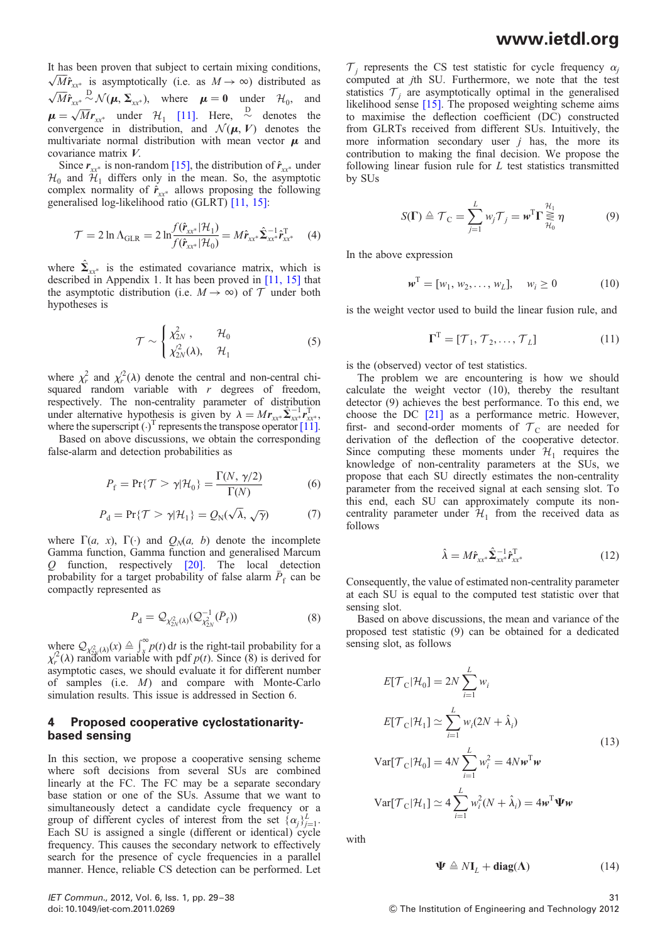It has been proven that subject to certain mixing conditions, It has been proven that subject to certain mixing conditions,<br> $\sqrt{M} \hat{r}_{xx^*}$  is asymptotically (i.e. as  $M \to \infty$ ) distributed as  $\sqrt{M} \hat{r}_{xx^*}^2 \sim \mathcal{N}(\mu, \Sigma_{xx^*})$ , where  $\mu = 0$  under  $\mathcal{H}_0$ , and  $\mu = \sqrt{M}r_{xx^*}$  under  $\mathcal{H}_1$  [11]. Here,  $\frac{D}{C}$  denotes the convergence in distribution, and  $\mathcal{N}(\boldsymbol{\mu}, V)$  denotes the multivariate normal distribution with mean vector  $\mu$  and covariance matrix V.

Since  $r_{xx}$ <sup>\*</sup> is non-random [15], the distribution of  $\hat{r}_{xx}$ <sup>\*</sup> under  $\mathcal{H}_0$  and  $\mathcal{H}_1$  differs only in the mean. So, the asymptotic complex normality of  $\hat{r}_{rr*}$  allows proposing the following generalised log-likelihood ratio (GLRT) [11, 15]:

$$
\mathcal{T} = 2 \ln \Lambda_{\text{GLR}} = 2 \ln \frac{f(\hat{\mathbf{r}}_{xx^*} | \mathcal{H}_1)}{f(\hat{\mathbf{r}}_{xx^*} | \mathcal{H}_0)} = M \hat{\mathbf{r}}_{xx^*} \hat{\boldsymbol{\Sigma}}_{xx^*}^{-1} \hat{\mathbf{r}}_{xx^*}^{\text{T}}
$$
(4)

where  $\hat{\Sigma}_{xx^*}$  is the estimated covariance matrix, which is described in Appendix 1. It has been proved in [11, 15] that the asymptotic distribution (i.e.  $M \rightarrow \infty$ ) of T under both hypotheses is

$$
\mathcal{T} \sim \begin{cases} \chi_{2N}^2, & \mathcal{H}_0 \\ \chi_{2N}^2(\lambda), & \mathcal{H}_1 \end{cases}
$$
 (5)

where  $\chi_r^2$  and  $\chi_r^2(\lambda)$  denote the central and non-central chisquared random variable with  $r$  degrees of freedom, respectively. The non-centrality parameter of distribution under alternative hypothesis is given by  $\lambda = Mr_{xx} \hat{\Sigma}_{xx}^{-1} r_{xx}^T$ , where the superscript  $(\cdot)^T$  represents the transpose operator [11].

Based on above discussions, we obtain the corresponding false-alarm and detection probabilities as

$$
P_{\rm f} = \Pr\{\mathcal{T} > \gamma | \mathcal{H}_0\} = \frac{\Gamma(N, \gamma/2)}{\Gamma(N)}\tag{6}
$$

$$
P_{\rm d} = \Pr\{\mathcal{T} > \gamma | \mathcal{H}_1\} = Q_{\rm N}(\sqrt{\lambda}, \sqrt{\gamma}) \tag{7}
$$

where  $\Gamma(a, x)$ ,  $\Gamma(\cdot)$  and  $Q_N(a, b)$  denote the incomplete Gamma function, Gamma function and generalised Marcum  $Q$  function, respectively  $[20]$ . The local detection probability for a target probability of false alarm  $\bar{P}_f$  can be compactly represented as

$$
P_{\rm d} = \mathcal{Q}_{\chi_{2N}^2(\lambda)}(\mathcal{Q}_{\chi_{2N}^2}^{-1}(\bar{P}_{\rm f})) \tag{8}
$$

where  $\mathcal{Q}_{\chi^2(\lambda)}(x) \triangleq \int_{x}^{\infty} p(t) dt$  is the right-tail probability for a  $\chi^2(\lambda)$  random variable with pdf  $p(t)$ . Since (8) is derived for asymptotic cases, we should evaluate it for different number of samples (i.e. M) and compare with Monte-Carlo simulation results. This issue is addressed in Section 6.

#### 4 Proposed cooperative cyclostationaritybased sensing

In this section, we propose a cooperative sensing scheme where soft decisions from several SUs are combined linearly at the FC. The FC may be a separate secondary base station or one of the SUs. Assume that we want to simultaneously detect a candidate cycle frequency or a group of different cycles of interest from the set  $\{\alpha_j\}_{j=1}^L$ . Each SU is assigned a single (different or identical) cycle frequency. This causes the secondary network to effectively search for the presence of cycle frequencies in a parallel manner. Hence, reliable CS detection can be performed. Let

### www.ietdl.org

 $\mathcal{T}_i$  represents the CS test statistic for cycle frequency  $\alpha_i$ computed at *j*th SU. Furthermore, we note that the test statistics  $\mathcal{T}_i$  are asymptotically optimal in the generalised likelihood sense [15]. The proposed weighting scheme aims to maximise the deflection coefficient (DC) constructed from GLRTs received from different SUs. Intuitively, the more information secondary user  $j$  has, the more its contribution to making the final decision. We propose the following linear fusion rule for  $L$  test statistics transmitted by SUs

$$
S(\Gamma) \triangleq \mathcal{T}_{\text{C}} = \sum_{j=1}^{L} w_j \mathcal{T}_j = \mathbf{w}^{\text{T}} \Gamma \gtrless_{\mathcal{H}_0}^{\mathcal{H}_1} \eta \tag{9}
$$

In the above expression

$$
\mathbf{w}^{\mathrm{T}} = [w_1, w_2, \dots, w_L], \quad w_i \ge 0 \tag{10}
$$

is the weight vector used to build the linear fusion rule, and

$$
\boldsymbol{\Gamma}^{\mathrm{T}} = [\mathcal{T}_1, \mathcal{T}_2, \dots, \mathcal{T}_L] \tag{11}
$$

is the (observed) vector of test statistics.

The problem we are encountering is how we should calculate the weight vector (10), thereby the resultant detector (9) achieves the best performance. To this end, we choose the DC [21] as a performance metric. However, first- and second-order moments of  $\mathcal{T}_C$  are needed for derivation of the deflection of the cooperative detector. Since computing these moments under  $\mathcal{H}_1$  requires the knowledge of non-centrality parameters at the SUs, we propose that each SU directly estimates the non-centrality parameter from the received signal at each sensing slot. To this end, each SU can approximately compute its noncentrality parameter under  $\mathcal{H}_1$  from the received data as follows

$$
\hat{\lambda} = M \hat{r}_{xx^*} \hat{\Sigma}_{xx^*}^{-1} \hat{r}_{xx^*}^{\mathrm{T}}
$$
\n(12)

Consequently, the value of estimated non-centrality parameter at each SU is equal to the computed test statistic over that sensing slot.

Based on above discussions, the mean and variance of the proposed test statistic (9) can be obtained for a dedicated sensing slot, as follows

$$
E[\mathcal{T}_{\text{C}}|\mathcal{H}_{0}] = 2N \sum_{i=1}^{L} w_{i}
$$
  
\n
$$
E[\mathcal{T}_{\text{C}}|\mathcal{H}_{1}] \simeq \sum_{i=1}^{L} w_{i}(2N + \hat{\lambda}_{i})
$$
  
\n
$$
\text{Var}[\mathcal{T}_{\text{C}}|\mathcal{H}_{0}] = 4N \sum_{i=1}^{L} w_{i}^{2} = 4Nw^{\text{T}}w
$$
  
\n
$$
\text{Var}[\mathcal{T}_{\text{C}}|\mathcal{H}_{1}] \simeq 4 \sum_{i=1}^{L} w_{i}^{2}(N + \hat{\lambda}_{i}) = 4w^{\text{T}}\mathbf{\Psi}w
$$
 (13)

with

$$
\mathbf{\Psi} \triangleq N\mathbf{I}_L + \mathbf{diag}(\Lambda) \tag{14}
$$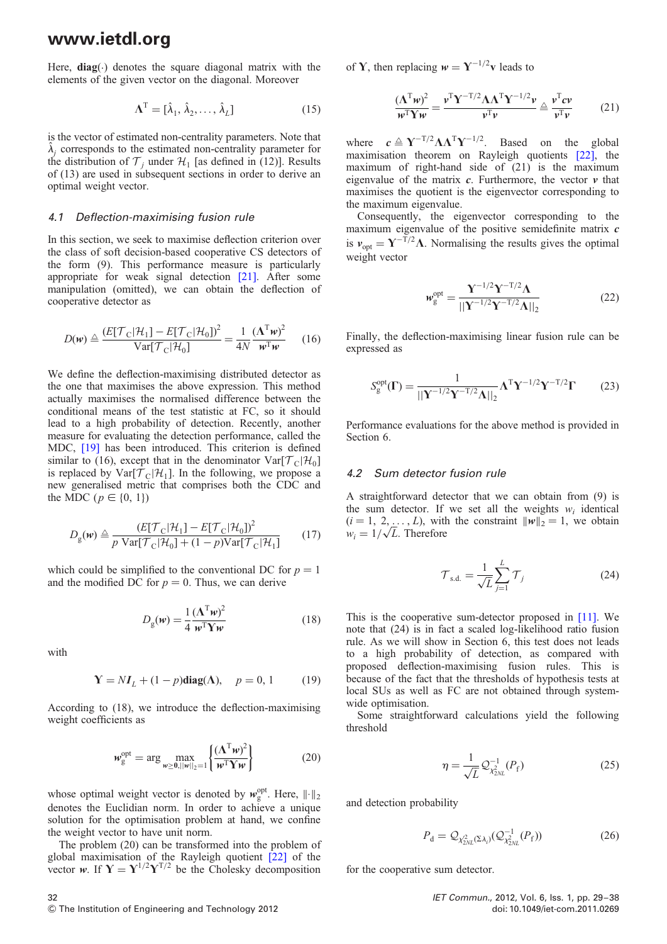Here,  $diag(\cdot)$  denotes the square diagonal matrix with the elements of the given vector on the diagonal. Moreover

$$
\Lambda^{\mathrm{T}} = [\hat{\lambda}_1, \hat{\lambda}_2, \dots, \hat{\lambda}_L]
$$
 (15)

is the vector of estimated non-centrality parameters. Note that  $\hat{\lambda}_j$  corresponds to the estimated non-centrality parameter for the distribution of  $\mathcal{T}_i$  under  $\mathcal{H}_1$  [as defined in (12)]. Results of (13) are used in subsequent sections in order to derive an optimal weight vector.

#### 4.1 Deflection-maximising fusion rule

In this section, we seek to maximise deflection criterion over the class of soft decision-based cooperative CS detectors of the form (9). This performance measure is particularly appropriate for weak signal detection [21]. After some manipulation (omitted), we can obtain the deflection of cooperative detector as

$$
D(\mathbf{w}) \triangleq \frac{(E[\mathcal{T}_C|\mathcal{H}_1] - E[\mathcal{T}_C|\mathcal{H}_0])^2}{Var[\mathcal{T}_C|\mathcal{H}_0]} = \frac{1}{4N} \frac{(\mathbf{\Lambda}^{\mathrm{T}} \mathbf{w})^2}{\mathbf{w}^{\mathrm{T}} \mathbf{w}} \tag{16}
$$

We define the deflection-maximising distributed detector as the one that maximises the above expression. This method actually maximises the normalised difference between the conditional means of the test statistic at FC, so it should lead to a high probability of detection. Recently, another measure for evaluating the detection performance, called the MDC, [19] has been introduced. This criterion is defined similar to (16), except that in the denominator  $Var[\mathcal{T}_C|\mathcal{H}_0]$ is replaced by  $Var[\mathcal{T}_C|\mathcal{H}_1]$ . In the following, we propose a new generalised metric that comprises both the CDC and the MDC ( $p \in \{0, 1\}$ )

$$
D_{\rm g}(\mathbf{w}) \triangleq \frac{(E[\mathcal{T}_{\rm C}|\mathcal{H}_{1}] - E[\mathcal{T}_{\rm C}|\mathcal{H}_{0}])^{2}}{p \operatorname{Var}[\mathcal{T}_{\rm C}|\mathcal{H}_{0}] + (1 - p)\operatorname{Var}[\mathcal{T}_{\rm C}|\mathcal{H}_{1}]} \tag{17}
$$

which could be simplified to the conventional DC for  $p = 1$ and the modified DC for  $p = 0$ . Thus, we can derive

$$
D_{\rm g}(\mathbf{w}) = \frac{1}{4} \frac{(\mathbf{\Lambda}^{\rm T} \mathbf{w})^2}{\mathbf{w}^{\rm T} \mathbf{Y} \mathbf{w}}
$$
(18)

with

$$
\mathbf{Y} = NI_L + (1 - p)\mathbf{diag}(\mathbf{\Lambda}), \quad p = 0, 1 \tag{19}
$$

According to (18), we introduce the deflection-maximising weight coefficients as

$$
w_{\rm g}^{\rm opt} = \arg\max_{w \ge 0, ||w||_2 = 1} \left\{ \frac{(\Lambda^{\rm T} w)^2}{w^{\rm T} \Upsilon w} \right\} \tag{20}
$$

whose optimal weight vector is denoted by  $w_g^{\text{opt}}$ . Here,  $\|\cdot\|_2$ denotes the Euclidian norm. In order to achieve a unique solution for the optimisation problem at hand, we confine the weight vector to have unit norm.

The problem (20) can be transformed into the problem of global maximisation of the Rayleigh quotient [22] of the vector w. If  $\mathbf{Y} = \mathbf{Y}^{1/2} \mathbf{Y}^{T/2}$  be the Cholesky decomposition

of **Y**, then replacing  $w = \Upsilon^{-1/2}v$  leads to

$$
\frac{(\Lambda^{\mathrm{T}} w)^2}{w^{\mathrm{T}} \Upsilon w} = \frac{v^{\mathrm{T}} \Upsilon^{-T/2} \Lambda \Lambda^{\mathrm{T}} \Upsilon^{-1/2} v}{v^{\mathrm{T}} v} \stackrel{\triangle}{=} \frac{v^{\mathrm{T}} c v}{v^{\mathrm{T}} v} \tag{21}
$$

where  $c \triangleq \Upsilon^{-T/2} \Lambda \Lambda^{T} \Upsilon^{-1/2}$ . Based on the global maximisation theorem on Rayleigh quotients [22], the maximum of right-hand side of  $(21)$  is the maximum eigenvalue of the matrix  $c$ . Furthermore, the vector  $\nu$  that maximises the quotient is the eigenvector corresponding to the maximum eigenvalue.

Consequently, the eigenvector corresponding to the maximum eigenvalue of the positive semidefinite matrix  $c$ is  $v_{opt} = \Upsilon^{-T/2} \Lambda$ . Normalising the results gives the optimal weight vector

$$
w_{\mathrm{g}}^{\mathrm{opt}} = \frac{\mathbf{Y}^{-1/2}\mathbf{Y}^{-T/2}\mathbf{\Lambda}}{||\mathbf{Y}^{-1/2}\mathbf{Y}^{-T/2}\mathbf{\Lambda}||_2}
$$
(22)

Finally, the deflection-maximising linear fusion rule can be expressed as

$$
S_{\rm g}^{\rm opt}(\Gamma) = \frac{1}{\left| |\mathbf{Y}^{-1/2}\mathbf{Y}^{-T/2}\mathbf{\Lambda}|\right|_2} \mathbf{\Lambda}^{\rm T} \mathbf{Y}^{-1/2} \mathbf{Y}^{-T/2} \Gamma \tag{23}
$$

Performance evaluations for the above method is provided in Section 6.

#### 4.2 Sum detector fusion rule

A straightforward detector that we can obtain from (9) is the sum detector. If we set all the weights  $w_i$  identical  $(i = 1, 2, \ldots, L)$ , with the constraint  $\|w\|_2 = 1$ , we obtain  $(i = 1, 2, ..., L)$ , with  $w_i = 1/\sqrt{L}$ . Therefore

$$
\mathcal{T}_{\text{s.d.}} = \frac{1}{\sqrt{L}} \sum_{j=1}^{L} \mathcal{T}_j \tag{24}
$$

This is the cooperative sum-detector proposed in [11]. We note that (24) is in fact a scaled log-likelihood ratio fusion rule. As we will show in Section 6, this test does not leads to a high probability of detection, as compared with proposed deflection-maximising fusion rules. This is because of the fact that the thresholds of hypothesis tests at local SUs as well as FC are not obtained through systemwide optimisation.

Some straightforward calculations yield the following threshold

$$
\eta = \frac{1}{\sqrt{L}} \mathcal{Q}_{\chi_{2NL}}^{-1}(P_{\rm f})
$$
\n(25)

and detection probability

$$
P_{\rm d} = \mathcal{Q}_{\chi_{2NL}^2(\Sigma \lambda_i)}(\mathcal{Q}_{\chi_{2NL}^2}^{-1}(P_{\rm f})) \tag{26}
$$

for the cooperative sum detector.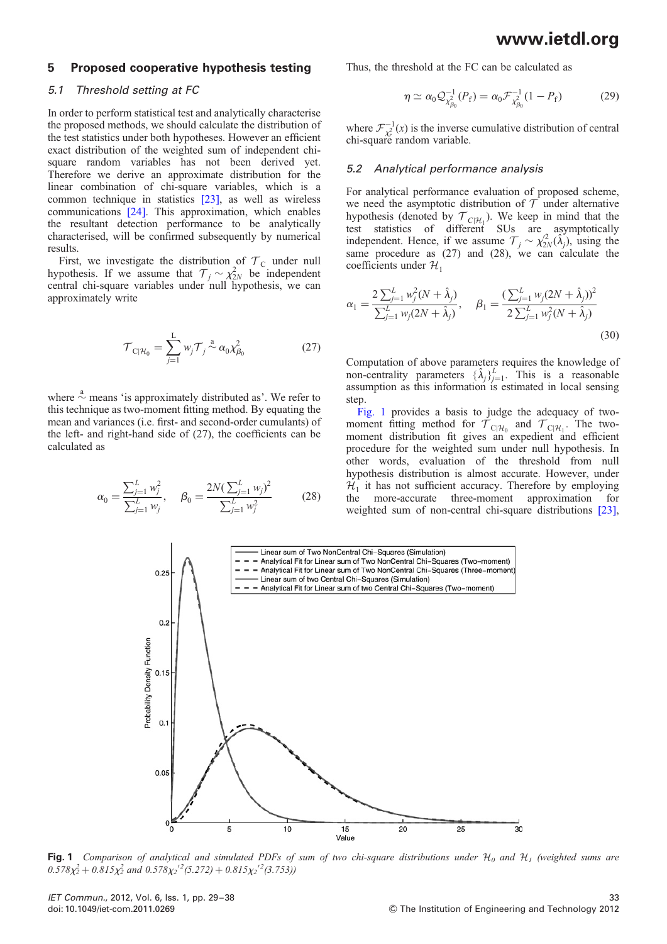#### 5 Proposed cooperative hypothesis testing

#### 5.1 Threshold setting at FC

In order to perform statistical test and analytically characterise the proposed methods, we should calculate the distribution of the test statistics under both hypotheses. However an efficient exact distribution of the weighted sum of independent chisquare random variables has not been derived yet. Therefore we derive an approximate distribution for the linear combination of chi-square variables, which is a common technique in statistics [23], as well as wireless communications [24]. This approximation, which enables the resultant detection performance to be analytically characterised, will be confirmed subsequently by numerical results.

First, we investigate the distribution of  $\tau_c$  under null hypothesis. If we assume that  $\mathcal{T}_j \sim \chi^2_{2N}$  be independent central chi-square variables under null hypothesis, we can approximately write

$$
\mathcal{T}_{\mathcal{C}|\mathcal{H}_0} = \sum_{j=1}^{L} w_j \mathcal{T}_j \stackrel{a}{\sim} \alpha_0 \chi_{\beta_0}^2 \tag{27}
$$

where  $\stackrel{a}{\sim}$  means 'is approximately distributed as'. We refer to this technique as two-moment fitting method. By equating the mean and variances (i.e. first- and second-order cumulants) of the left- and right-hand side of (27), the coefficients can be calculated as

$$
\alpha_0 = \frac{\sum_{j=1}^L w_j^2}{\sum_{j=1}^L w_j}, \quad \beta_0 = \frac{2N(\sum_{j=1}^L w_j)^2}{\sum_{j=1}^L w_j^2}
$$
(28)

Thus, the threshold at the FC can be calculated as

$$
\eta \simeq \alpha_0 \mathcal{Q}_{\chi_{\beta_0}}^{-1}(P_f) = \alpha_0 \mathcal{F}_{\chi_{\beta_0}}^{-1}(1 - P_f) \tag{29}
$$

where  $\mathcal{F}_{\lambda_r^2}^{-1}(x)$  is the inverse cumulative distribution of central chi-square random variable.

#### 5.2 Analytical performance analysis

For analytical performance evaluation of proposed scheme, we need the asymptotic distribution of  $T$  under alternative hypothesis (denoted by  $\mathcal{T}_{C|\mathcal{H}_1}$ ). We keep in mind that the test statistics of different SUs are asymptotically independent. Hence, if we assume  $\mathcal{T}_j \sim \chi_{2N}^2(\hat{\lambda}_j)$ , using the same procedure as (27) and (28), we can calculate the coefficients under  $\mathcal{H}_1$ 

$$
\alpha_1 = \frac{2\sum_{j=1}^L w_j^2 (N + \hat{\lambda}_j)}{\sum_{j=1}^L w_j (2N + \hat{\lambda}_j)}, \quad \beta_1 = \frac{(\sum_{j=1}^L w_j (2N + \hat{\lambda}_j))^2}{2\sum_{j=1}^L w_j^2 (N + \hat{\lambda}_j)}
$$
(30)

Computation of above parameters requires the knowledge of non-centrality parameters  $\{\hat{\lambda}_j\}_{j=1}^L$ . This is a reasonable assumption as this information is estimated in local sensing step.

Fig. 1 provides a basis to judge the adequacy of twomoment fitting method for  $\mathcal{T}_{C|\mathcal{H}_0}$  and  $\mathcal{T}_{C|\mathcal{H}_1}$ . The twomoment distribution fit gives an expedient and efficient procedure for the weighted sum under null hypothesis. In other words, evaluation of the threshold from null hypothesis distribution is almost accurate. However, under  $\mathcal{H}_1$  it has not sufficient accuracy. Therefore by employing the more-accurate three-moment approximation for weighted sum of non-central chi-square distributions [23],



Fig. 1 Comparison of analytical and simulated PDFs of sum of two chi-square distributions under  $H_0$  and  $H_1$  (weighted sums are  $0.578\chi_2^2 + 0.815\chi_2^2$  and  $0.578\chi_2^{\prime\prime 2}(5.272) + 0.815\chi_2^{\prime\prime 2}(3.753)$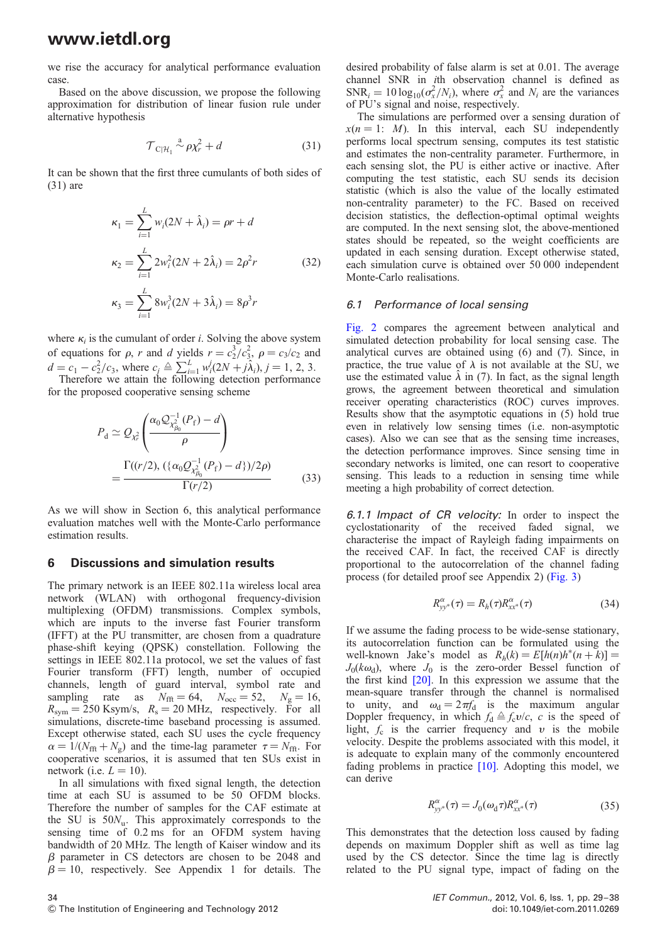we rise the accuracy for analytical performance evaluation case.

Based on the above discussion, we propose the following approximation for distribution of linear fusion rule under alternative hypothesis

$$
\mathcal{T}_{\mathbf{C}|\mathcal{H}_1} \stackrel{a}{\sim} \rho \chi^2_r + d \tag{31}
$$

It can be shown that the first three cumulants of both sides of (31) are

$$
\kappa_1 = \sum_{i=1}^{L} w_i (2N + \hat{\lambda}_i) = \rho r + d
$$
  
\n
$$
\kappa_2 = \sum_{i=1}^{L} 2w_i^2 (2N + 2\hat{\lambda}_i) = 2\rho^2 r
$$
  
\n
$$
\kappa_3 = \sum_{i=1}^{L} 8w_i^3 (2N + 3\hat{\lambda}_i) = 8\rho^3 r
$$
  
\n(32)

where  $\kappa_i$  is the cumulant of order *i*. Solving the above system of equations for  $\rho$ , r and d yields  $r = c_2^3/c_3^2$ ,  $\rho = c_3/c_2$  and  $d = c_1 - c_2^2/c_3$ , where  $c_j \triangleq \sum_{i=1}^{L} w_i^j (2N + j\hat{\lambda}_i), j = 1, 2, 3$ .

Therefore we attain the following detection performance for the proposed cooperative sensing scheme

$$
P_{\rm d} \simeq Q_{\chi_r^2} \left( \frac{\alpha_0 Q_{\chi_{\beta_0}}^{-1} (P_{\rm f}) - d}{\rho} \right)
$$
  
= 
$$
\frac{\Gamma((r/2), (\{\alpha_0 Q_{\chi_{\beta_0}}^{-1} (P_{\rm f}) - d\})/2\rho)}{\Gamma(r/2)}
$$
(33)

As we will show in Section 6, this analytical performance evaluation matches well with the Monte-Carlo performance estimation results.

#### 6 Discussions and simulation results

The primary network is an IEEE 802.11a wireless local area network (WLAN) with orthogonal frequency-division multiplexing (OFDM) transmissions. Complex symbols, which are inputs to the inverse fast Fourier transform (IFFT) at the PU transmitter, are chosen from a quadrature phase-shift keying (QPSK) constellation. Following the settings in IEEE 802.11a protocol, we set the values of fast Fourier transform (FFT) length, number of occupied channels, length of guard interval, symbol rate and sampling rate as  $N_{\text{fft}} = 64$ ,  $N_{\text{occ}} = 52$ ,  $N_{\text{g}} = 16$ ,  $R_{sym} = 250$  Ksym/s,  $R_s = 20$  MHz, respectively. For all simulations, discrete-time baseband processing is assumed. Except otherwise stated, each SU uses the cycle frequency  $\alpha = 1/(N_{\text{fft}} + N_{\text{g}})$  and the time-lag parameter  $\tau = N_{\text{fft}}$ . For cooperative scenarios, it is assumed that ten SUs exist in network (i.e.  $L = 10$ ).

In all simulations with fixed signal length, the detection time at each SU is assumed to be 50 OFDM blocks. Therefore the number of samples for the CAF estimate at the SU is  $50N<sub>u</sub>$ . This approximately corresponds to the sensing time of 0.2 ms for an OFDM system having bandwidth of 20 MHz. The length of Kaiser window and its  $\beta$  parameter in CS detectors are chosen to be 2048 and  $\beta = 10$ , respectively. See Appendix 1 for details. The

desired probability of false alarm is set at 0.01. The average channel SNR in ith observation channel is defined as  $SNR_i = 10 \log_{10}(\sigma_x^2/N_i)$ , where  $\sigma_x^2$  and  $N_i$  are the variances of PU's signal and noise, respectively.

The simulations are performed over a sensing duration of  $x(n = 1: M)$ . In this interval, each SU independently performs local spectrum sensing, computes its test statistic and estimates the non-centrality parameter. Furthermore, in each sensing slot, the PU is either active or inactive. After computing the test statistic, each SU sends its decision statistic (which is also the value of the locally estimated non-centrality parameter) to the FC. Based on received decision statistics, the deflection-optimal optimal weights are computed. In the next sensing slot, the above-mentioned states should be repeated, so the weight coefficients are updated in each sensing duration. Except otherwise stated, each simulation curve is obtained over 50 000 independent Monte-Carlo realisations.

#### 6.1 Performance of local sensing

Fig. 2 compares the agreement between analytical and simulated detection probability for local sensing case. The analytical curves are obtained using (6) and (7). Since, in practice, the true value of  $\lambda$  is not available at the SU, we use the estimated value  $\lambda$  in (7). In fact, as the signal length grows, the agreement between theoretical and simulation receiver operating characteristics (ROC) curves improves. Results show that the asymptotic equations in (5) hold true even in relatively low sensing times (i.e. non-asymptotic cases). Also we can see that as the sensing time increases, the detection performance improves. Since sensing time in secondary networks is limited, one can resort to cooperative sensing. This leads to a reduction in sensing time while meeting a high probability of correct detection.

6.1.1 Impact of CR velocity: In order to inspect the cyclostationarity of the received faded signal, we characterise the impact of Rayleigh fading impairments on the received CAF. In fact, the received CAF is directly proportional to the autocorrelation of the channel fading process (for detailed proof see Appendix 2) (Fig. 3)

$$
R^{\alpha}_{yy^*}(\tau) = R_h(\tau)R^{\alpha}_{xx^*}(\tau) \tag{34}
$$

If we assume the fading process to be wide-sense stationary, its autocorrelation function can be formulated using the well-known Jake's model as  $R_h(k) = E[h(n)h^*(n+k)]$  $J_0(k\omega_d)$ , where  $J_0$  is the zero-order Bessel function of the first kind [20]. In this expression we assume that the mean-square transfer through the channel is normalised to unity, and  $\omega_d = 2\pi f_d$  is the maximum angular Doppler frequency, in which  $f_d \triangleq f_c v/c$ , c is the speed of light,  $f_c$  is the carrier frequency and v is the mobile velocity. Despite the problems associated with this model, it is adequate to explain many of the commonly encountered fading problems in practice  $[10]$ . Adopting this model, we can derive

$$
R_{yy^*}^{\alpha}(\tau) = J_0(\omega_\mathrm{d}\tau) R_{xx^*}^{\alpha}(\tau) \tag{35}
$$

This demonstrates that the detection loss caused by fading depends on maximum Doppler shift as well as time lag used by the CS detector. Since the time lag is directly related to the PU signal type, impact of fading on the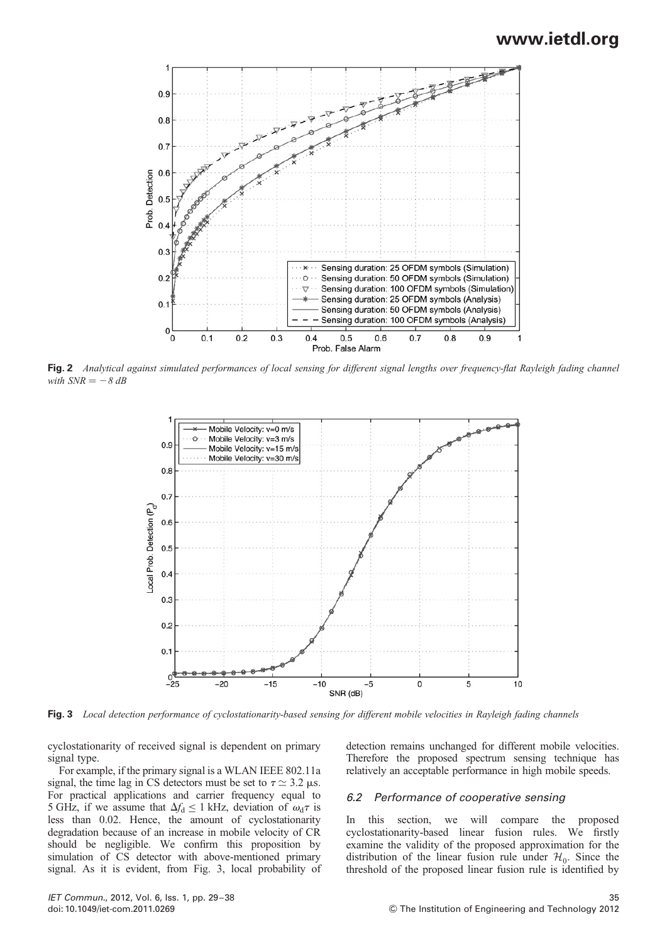

Fig. 2 Analytical against simulated performances of local sensing for different signal lengths over frequency-flat Rayleigh fading channel with  $SNR = -8 dB$ 



Fig. 3 Local detection performance of cyclostationarity-based sensing for different mobile velocities in Rayleigh fading channels

cyclostationarity of received signal is dependent on primary signal type.

For example, if the primary signal is a WLAN IEEE 802.11a signal, the time lag in CS detectors must be set to  $\tau \simeq 3.2 \,\mu s$ . For practical applications and carrier frequency equal to 5 GHz, if we assume that  $\Delta f_d \leq 1$  kHz, deviation of  $\omega_d \tau$  is less than 0.02. Hence, the amount of cyclostationarity degradation because of an increase in mobile velocity of CR should be negligible. We confirm this proposition by simulation of CS detector with above-mentioned primary signal. As it is evident, from Fig. 3, local probability of detection remains unchanged for different mobile velocities. Therefore the proposed spectrum sensing technique has relatively an acceptable performance in high mobile speeds.

#### 6.2 Performance of cooperative sensing

In this section, we will compare the proposed cyclostationarity-based linear fusion rules. We firstly examine the validity of the proposed approximation for the distribution of the linear fusion rule under  $\mathcal{H}_0$ . Since the threshold of the proposed linear fusion rule is identified by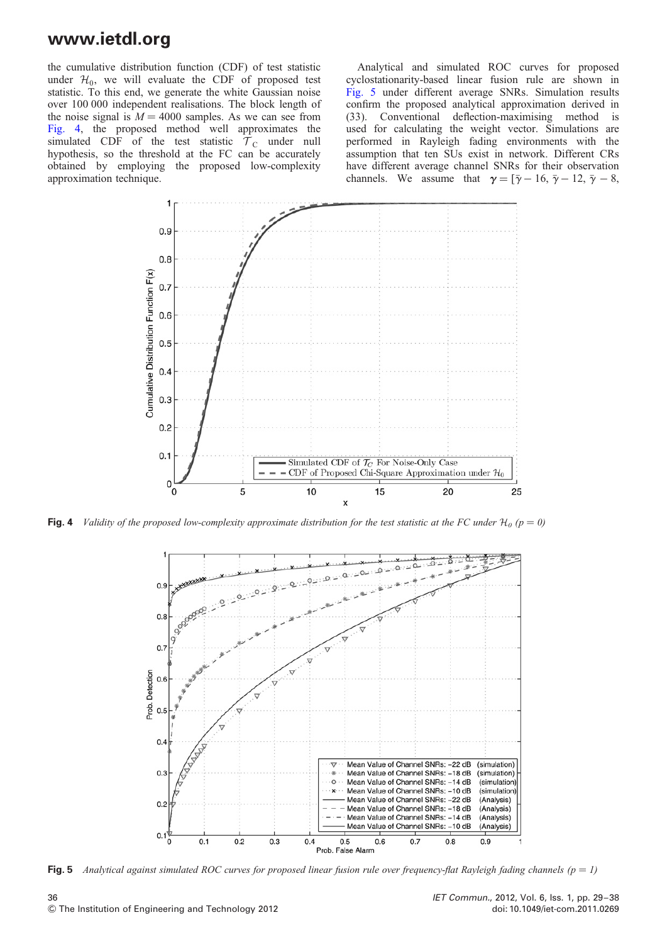the cumulative distribution function (CDF) of test statistic under  $\mathcal{H}_0$ , we will evaluate the CDF of proposed test statistic. To this end, we generate the white Gaussian noise over 100 000 independent realisations. The block length of the noise signal is  $M = 4000$  samples. As we can see from Fig. 4, the proposed method well approximates the simulated CDF of the test statistic  $\overline{\mathcal{T}}_C$  under null hypothesis, so the threshold at the FC can be accurately obtained by employing the proposed low-complexity approximation technique.

Analytical and simulated ROC curves for proposed cyclostationarity-based linear fusion rule are shown in Fig. 5 under different average SNRs. Simulation results confirm the proposed analytical approximation derived in (33). Conventional deflection-maximising method is used for calculating the weight vector. Simulations are performed in Rayleigh fading environments with the assumption that ten SUs exist in network. Different CRs have different average channel SNRs for their observation channels. We assume that  $\gamma = [\bar{\gamma} - 16, \bar{\gamma} - 12, \bar{\gamma} - 8,$ 



**Fig. 4** Validity of the proposed low-complexity approximate distribution for the test statistic at the FC under  $\mathcal{H}_0$  ( $p = 0$ )



Fig. 5 Analytical against simulated ROC curves for proposed linear fusion rule over frequency-flat Rayleigh fading channels ( $p = 1$ )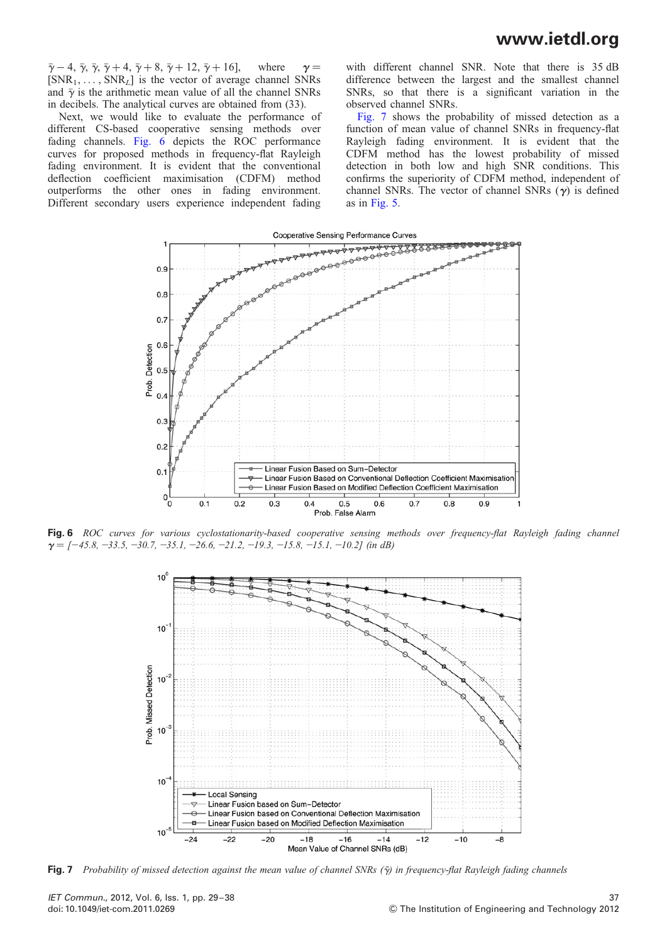$\overline{\gamma}$  – 4,  $\overline{\gamma}$ ,  $\overline{\gamma}$  + 4,  $\overline{\gamma}$  + 8,  $\overline{\gamma}$  + 12,  $\overline{\gamma}$  + 16], where  $\gamma$  =  $[SNR<sub>1</sub>, ..., SNR<sub>L</sub>]$  is the vector of average channel SNRs and  $\bar{\gamma}$  is the arithmetic mean value of all the channel SNRs in decibels. The analytical curves are obtained from (33).

Next, we would like to evaluate the performance of different CS-based cooperative sensing methods over fading channels. Fig. 6 depicts the ROC performance curves for proposed methods in frequency-flat Rayleigh fading environment. It is evident that the conventional deflection coefficient maximisation (CDFM) method outperforms the other ones in fading environment. Different secondary users experience independent fading

with different channel SNR. Note that there is 35 dB difference between the largest and the smallest channel SNRs, so that there is a significant variation in the observed channel SNRs.

Fig. 7 shows the probability of missed detection as a function of mean value of channel SNRs in frequency-flat Rayleigh fading environment. It is evident that the CDFM method has the lowest probability of missed detection in both low and high SNR conditions. This confirms the superiority of CDFM method, independent of channel SNRs. The vector of channel SNRs  $(y)$  is defined as in Fig. 5.



Fig. 6 ROC curves for various cyclostationarity-based cooperative sensing methods over frequency-flat Rayleigh fading channel  $\gamma = [-45.8, -33.5, -30.7, -35.1, -26.6, -21.2, -19.3, -15.8, -15.1, -10.2]$  (in dB)



Fig. 7 Probability of missed detection against the mean value of channel SNRs  $(\bar{\gamma})$  in frequency-flat Rayleigh fading channels